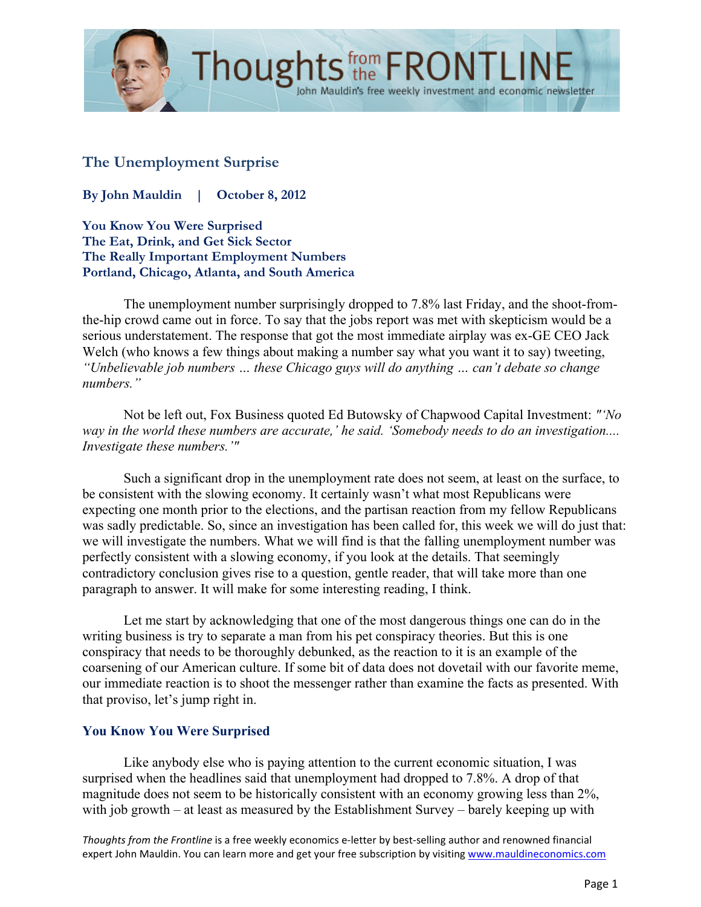

## **The Unemployment Surprise**

**By John Mauldin | October 8, 2012**

**You Know You Were Surprised The Eat, Drink, and Get Sick Sector The Really Important Employment Numbers Portland, Chicago, Atlanta, and South America**

The unemployment number surprisingly dropped to 7.8% last Friday, and the shoot-fromthe-hip crowd came out in force. To say that the jobs report was met with skepticism would be a serious understatement. The response that got the most immediate airplay was ex-GE CEO Jack Welch (who knows a few things about making a number say what you want it to say) tweeting, *"Unbelievable job numbers … these Chicago guys will do anything … can't debate so change numbers."*

John Mauldin's free weekly investment and economic newsletter

Not be left out, Fox Business quoted Ed Butowsky of Chapwood Capital Investment: *"'No way in the world these numbers are accurate,' he said. 'Somebody needs to do an investigation.... Investigate these numbers.'"*

Such a significant drop in the unemployment rate does not seem, at least on the surface, to be consistent with the slowing economy. It certainly wasn't what most Republicans were expecting one month prior to the elections, and the partisan reaction from my fellow Republicans was sadly predictable. So, since an investigation has been called for, this week we will do just that: we will investigate the numbers. What we will find is that the falling unemployment number was perfectly consistent with a slowing economy, if you look at the details. That seemingly contradictory conclusion gives rise to a question, gentle reader, that will take more than one paragraph to answer. It will make for some interesting reading, I think.

Let me start by acknowledging that one of the most dangerous things one can do in the writing business is try to separate a man from his pet conspiracy theories. But this is one conspiracy that needs to be thoroughly debunked, as the reaction to it is an example of the coarsening of our American culture. If some bit of data does not dovetail with our favorite meme, our immediate reaction is to shoot the messenger rather than examine the facts as presented. With that proviso, let's jump right in.

## **You Know You Were Surprised**

Like anybody else who is paying attention to the current economic situation, I was surprised when the headlines said that unemployment had dropped to 7.8%. A drop of that magnitude does not seem to be historically consistent with an economy growing less than 2%, with job growth – at least as measured by the Establishment Survey – barely keeping up with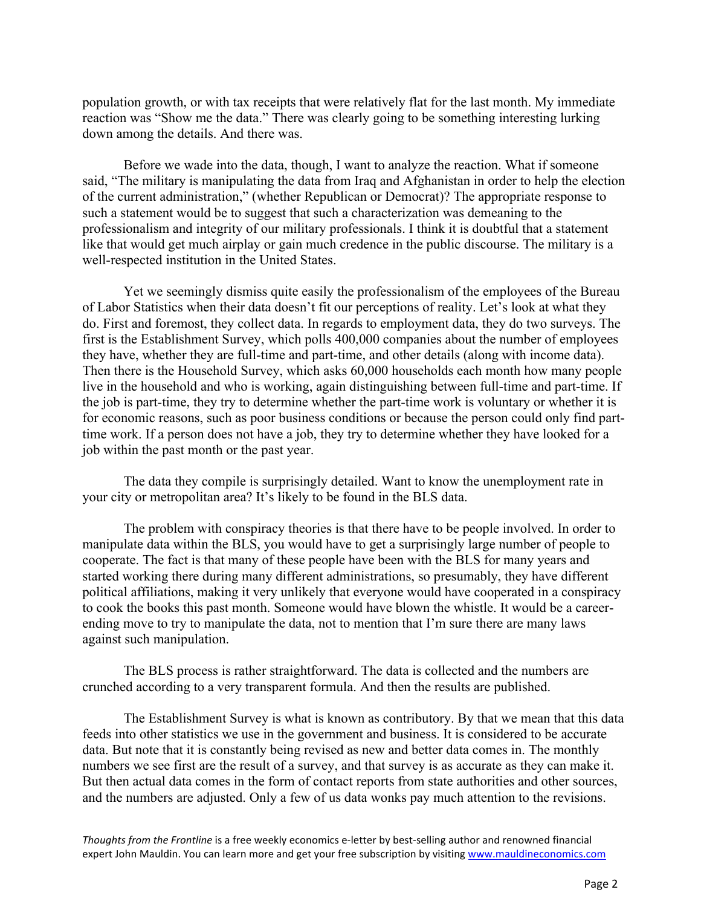population growth, or with tax receipts that were relatively flat for the last month. My immediate reaction was "Show me the data." There was clearly going to be something interesting lurking down among the details. And there was.

Before we wade into the data, though, I want to analyze the reaction. What if someone said, "The military is manipulating the data from Iraq and Afghanistan in order to help the election of the current administration," (whether Republican or Democrat)? The appropriate response to such a statement would be to suggest that such a characterization was demeaning to the professionalism and integrity of our military professionals. I think it is doubtful that a statement like that would get much airplay or gain much credence in the public discourse. The military is a well-respected institution in the United States.

Yet we seemingly dismiss quite easily the professionalism of the employees of the Bureau of Labor Statistics when their data doesn't fit our perceptions of reality. Let's look at what they do. First and foremost, they collect data. In regards to employment data, they do two surveys. The first is the Establishment Survey, which polls 400,000 companies about the number of employees they have, whether they are full-time and part-time, and other details (along with income data). Then there is the Household Survey, which asks 60,000 households each month how many people live in the household and who is working, again distinguishing between full-time and part-time. If the job is part-time, they try to determine whether the part-time work is voluntary or whether it is for economic reasons, such as poor business conditions or because the person could only find parttime work. If a person does not have a job, they try to determine whether they have looked for a job within the past month or the past year.

The data they compile is surprisingly detailed. Want to know the unemployment rate in your city or metropolitan area? It's likely to be found in the BLS data.

The problem with conspiracy theories is that there have to be people involved. In order to manipulate data within the BLS, you would have to get a surprisingly large number of people to cooperate. The fact is that many of these people have been with the BLS for many years and started working there during many different administrations, so presumably, they have different political affiliations, making it very unlikely that everyone would have cooperated in a conspiracy to cook the books this past month. Someone would have blown the whistle. It would be a careerending move to try to manipulate the data, not to mention that I'm sure there are many laws against such manipulation.

The BLS process is rather straightforward. The data is collected and the numbers are crunched according to a very transparent formula. And then the results are published.

The Establishment Survey is what is known as contributory. By that we mean that this data feeds into other statistics we use in the government and business. It is considered to be accurate data. But note that it is constantly being revised as new and better data comes in. The monthly numbers we see first are the result of a survey, and that survey is as accurate as they can make it. But then actual data comes in the form of contact reports from state authorities and other sources, and the numbers are adjusted. Only a few of us data wonks pay much attention to the revisions.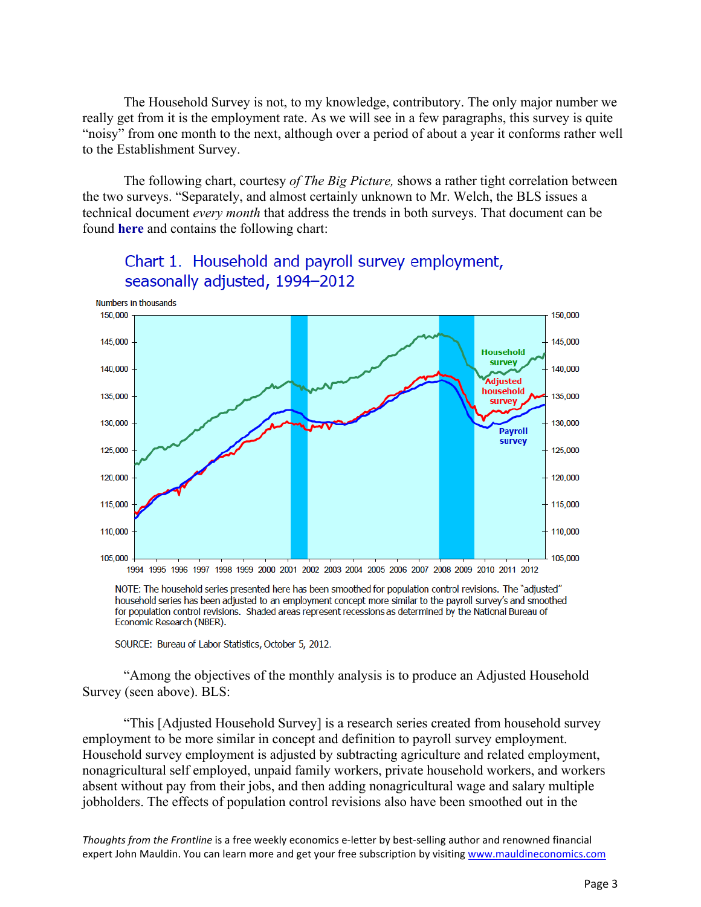The Household Survey is not, to my knowledge, contributory. The only major number we really get from it is the employment rate. As we will see in a few paragraphs, this survey is quite "noisy" from one month to the next, although over a period of about a year it conforms rather well to the Establishment Survey.

The following chart, courtesy *of The Big Picture,* shows a rather tight correlation between the two surveys. "Separately, and almost certainly unknown to Mr. Welch, the BLS issues a technical document *every month* that address the trends in both surveys. That document can be found **here** and contains the following chart:



# Chart 1. Household and payroll survey employment, seasonally adjusted, 1994-2012

NOTE: The household series presented here has been smoothed for population control revisions. The "adjusted" household series has been adjusted to an employment concept more similar to the payroll survey's and smoothed for population control revisions. Shaded areas represent recessions as determined by the National Bureau of Economic Research (NBER).

SOURCE: Bureau of Labor Statistics, October 5, 2012.

"Among the objectives of the monthly analysis is to produce an Adjusted Household Survey (seen above). BLS:

"This [Adjusted Household Survey] is a research series created from household survey employment to be more similar in concept and definition to payroll survey employment. Household survey employment is adjusted by subtracting agriculture and related employment, nonagricultural self employed, unpaid family workers, private household workers, and workers absent without pay from their jobs, and then adding nonagricultural wage and salary multiple jobholders. The effects of population control revisions also have been smoothed out in the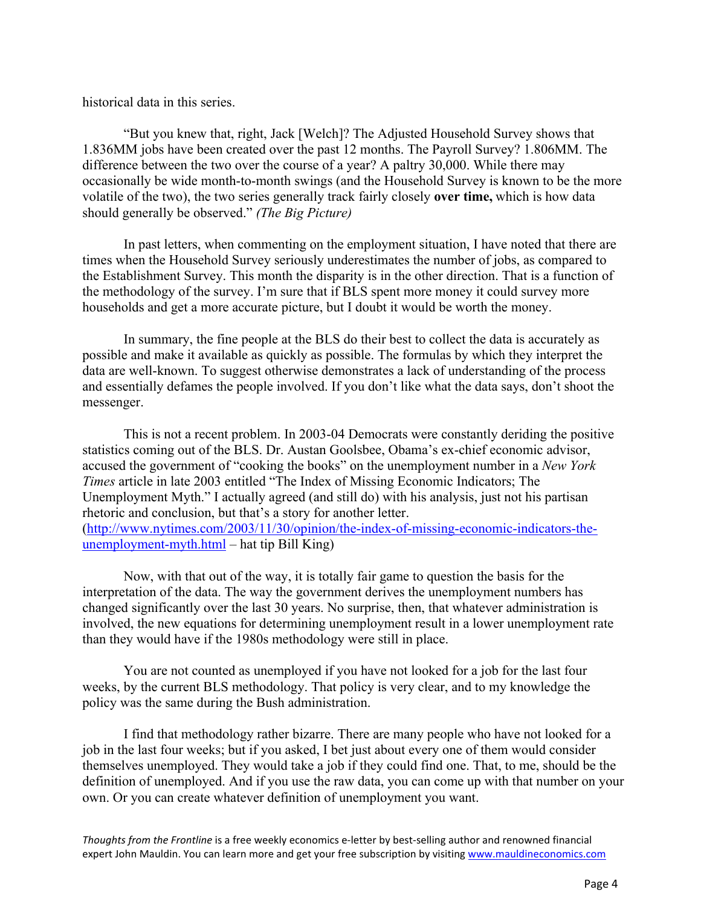historical data in this series.

"But you knew that, right, Jack [Welch]? The Adjusted Household Survey shows that 1.836MM jobs have been created over the past 12 months. The Payroll Survey? 1.806MM. The difference between the two over the course of a year? A paltry 30,000. While there may occasionally be wide month-to-month swings (and the Household Survey is known to be the more volatile of the two), the two series generally track fairly closely **over time,** which is how data should generally be observed." *(The Big Picture)*

In past letters, when commenting on the employment situation, I have noted that there are times when the Household Survey seriously underestimates the number of jobs, as compared to the Establishment Survey. This month the disparity is in the other direction. That is a function of the methodology of the survey. I'm sure that if BLS spent more money it could survey more households and get a more accurate picture, but I doubt it would be worth the money.

In summary, the fine people at the BLS do their best to collect the data is accurately as possible and make it available as quickly as possible. The formulas by which they interpret the data are well-known. To suggest otherwise demonstrates a lack of understanding of the process and essentially defames the people involved. If you don't like what the data says, don't shoot the messenger.

This is not a recent problem. In 2003-04 Democrats were constantly deriding the positive statistics coming out of the BLS. Dr. Austan Goolsbee, Obama's ex-chief economic advisor, accused the government of "cooking the books" on the unemployment number in a *New York Times* article in late 2003 entitled "The Index of Missing Economic Indicators; The Unemployment Myth." I actually agreed (and still do) with his analysis, just not his partisan rhetoric and conclusion, but that's a story for another letter. (http://www.nytimes.com/2003/11/30/opinion/the-index-of-missing-economic-indicators-theunemployment-myth.html – hat tip Bill King)

Now, with that out of the way, it is totally fair game to question the basis for the interpretation of the data. The way the government derives the unemployment numbers has changed significantly over the last 30 years. No surprise, then, that whatever administration is involved, the new equations for determining unemployment result in a lower unemployment rate than they would have if the 1980s methodology were still in place.

You are not counted as unemployed if you have not looked for a job for the last four weeks, by the current BLS methodology. That policy is very clear, and to my knowledge the policy was the same during the Bush administration.

I find that methodology rather bizarre. There are many people who have not looked for a job in the last four weeks; but if you asked, I bet just about every one of them would consider themselves unemployed. They would take a job if they could find one. That, to me, should be the definition of unemployed. And if you use the raw data, you can come up with that number on your own. Or you can create whatever definition of unemployment you want.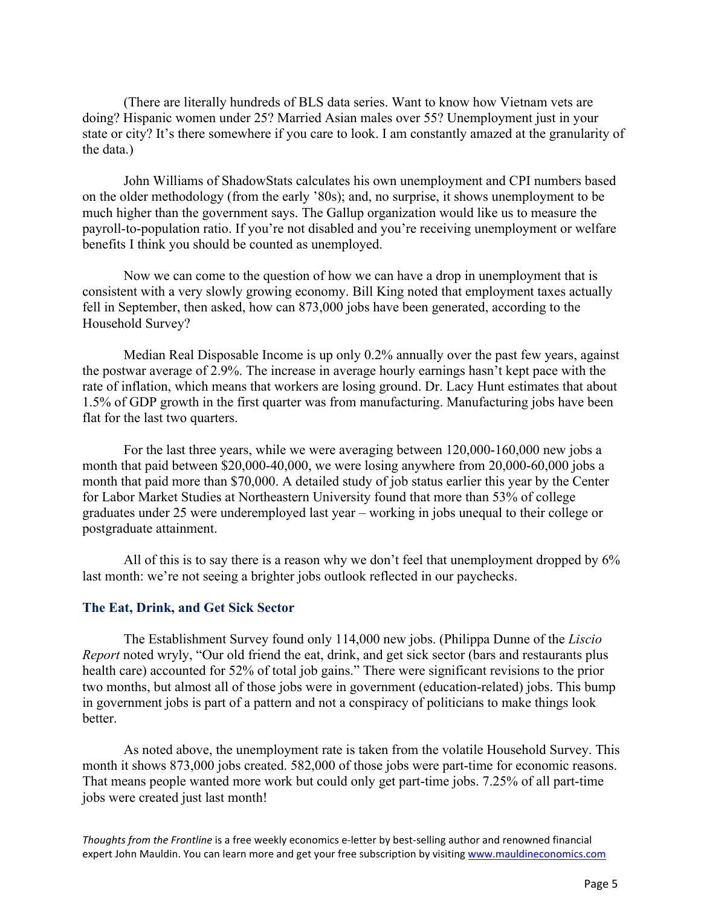(There are literally hundreds of BLS data series. Want to know how Vietnam vets are doing? Hispanic women under 25? Married Asian males over 55? Unemployment just in your state or city? It's there somewhere if you care to look. I am constantly amazed at the granularity of the data.)

John Williams of ShadowStats calculates his own unemployment and CPI numbers based on the older methodology (from the early '80s); and, no surprise, it shows unemployment to be much higher than the government says. The Gallup organization would like us to measure the payroll-to-population ratio. If you're not disabled and you're receiving unemployment or welfare benefits I think you should be counted as unemployed.

Now we can come to the question of how we can have a drop in unemployment that is consistent with a very slowly growing economy. Bill King noted that employment taxes actually fell in September, then asked, how can 873,000 jobs have been generated, according to the Household Survey?

Median Real Disposable Income is up only 0.2% annually over the past few years, against the postwar average of 2.9%. The increase in average hourly earnings hasn't kept pace with the rate of inflation, which means that workers are losing ground. Dr. Lacy Hunt estimates that about 1.5% of GDP growth in the first quarter was from manufacturing. Manufacturing jobs have been flat for the last two quarters.

For the last three years, while we were averaging between 120,000-160,000 new jobs a month that paid between \$20,000-40,000, we were losing anywhere from 20,000-60,000 jobs a month that paid more than \$70,000. A detailed study of job status earlier this year by the Center for Labor Market Studies at Northeastern University found that more than 53% of college graduates under 25 were underemployed last year – working in jobs unequal to their college or postgraduate attainment.

All of this is to say there is a reason why we don't feel that unemployment dropped by 6% last month: we're not seeing a brighter jobs outlook reflected in our paychecks.

#### **The Eat, Drink, and Get Sick Sector**

The Establishment Survey found only 114,000 new jobs. (Philippa Dunne of the *Liscio Report* noted wryly, "Our old friend the eat, drink, and get sick sector (bars and restaurants plus health care) accounted for 52% of total job gains." There were significant revisions to the prior two months, but almost all of those jobs were in government (education-related) jobs. This bump in government jobs is part of a pattern and not a conspiracy of politicians to make things look better.

As noted above, the unemployment rate is taken from the volatile Household Survey. This month it shows 873,000 jobs created. 582,000 of those jobs were part-time for economic reasons. That means people wanted more work but could only get part-time jobs. 7.25% of all part-time jobs were created just last month!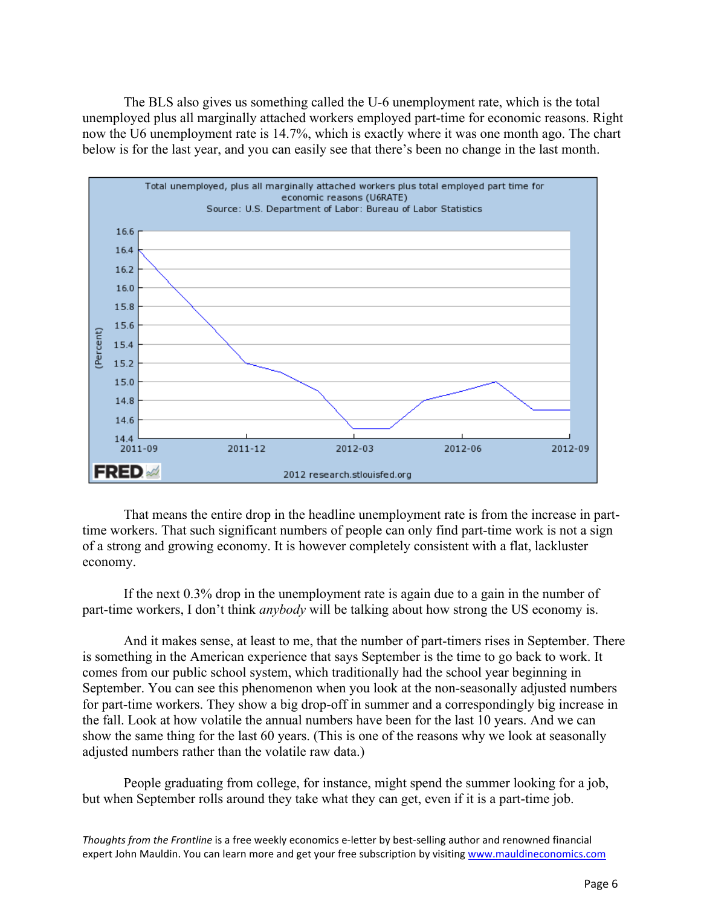The BLS also gives us something called the U-6 unemployment rate, which is the total unemployed plus all marginally attached workers employed part-time for economic reasons. Right now the U6 unemployment rate is 14.7%, which is exactly where it was one month ago. The chart below is for the last year, and you can easily see that there's been no change in the last month.



That means the entire drop in the headline unemployment rate is from the increase in parttime workers. That such significant numbers of people can only find part-time work is not a sign of a strong and growing economy. It is however completely consistent with a flat, lackluster economy.

If the next 0.3% drop in the unemployment rate is again due to a gain in the number of part-time workers, I don't think *anybody* will be talking about how strong the US economy is.

And it makes sense, at least to me, that the number of part-timers rises in September. There is something in the American experience that says September is the time to go back to work. It comes from our public school system, which traditionally had the school year beginning in September. You can see this phenomenon when you look at the non-seasonally adjusted numbers for part-time workers. They show a big drop-off in summer and a correspondingly big increase in the fall. Look at how volatile the annual numbers have been for the last 10 years. And we can show the same thing for the last 60 years. (This is one of the reasons why we look at seasonally adjusted numbers rather than the volatile raw data.)

People graduating from college, for instance, might spend the summer looking for a job, but when September rolls around they take what they can get, even if it is a part-time job.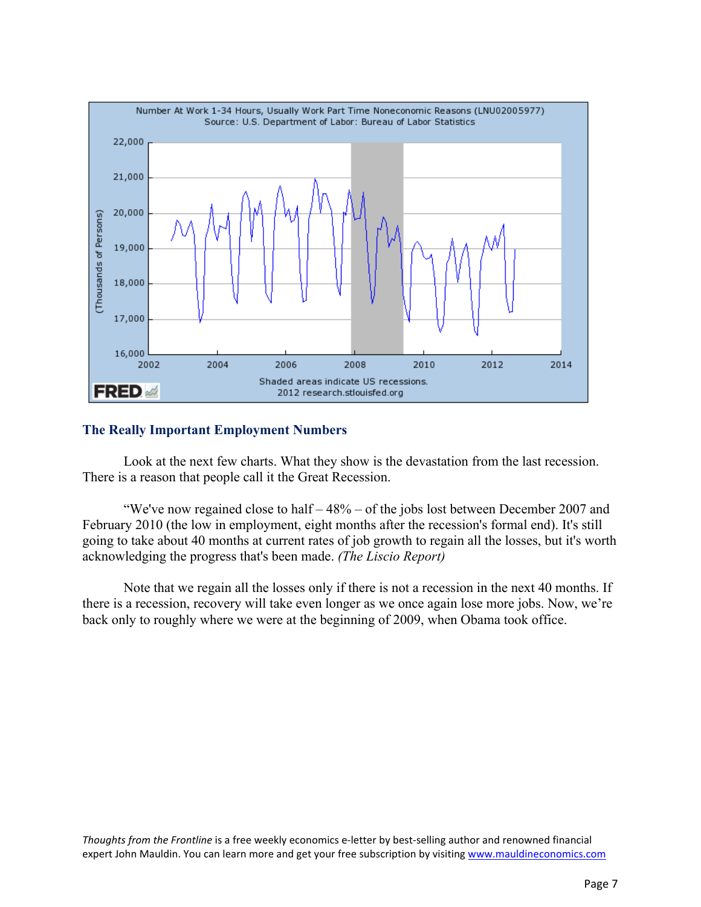

### **The Really Important Employment Numbers**

Look at the next few charts. What they show is the devastation from the last recession. There is a reason that people call it the Great Recession.

"We've now regained close to half – 48% – of the jobs lost between December 2007 and February 2010 (the low in employment, eight months after the recession's formal end). It's still going to take about 40 months at current rates of job growth to regain all the losses, but it's worth acknowledging the progress that's been made. *(The Liscio Report)*

Note that we regain all the losses only if there is not a recession in the next 40 months. If there is a recession, recovery will take even longer as we once again lose more jobs. Now, we're back only to roughly where we were at the beginning of 2009, when Obama took office.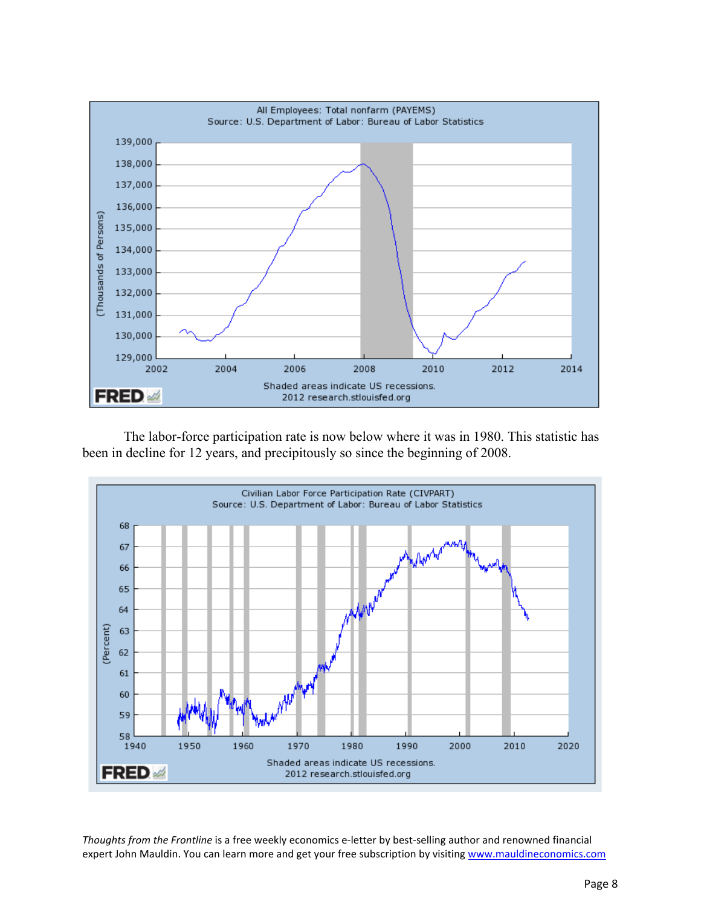

The labor-force participation rate is now below where it was in 1980. This statistic has been in decline for 12 years, and precipitously so since the beginning of 2008.

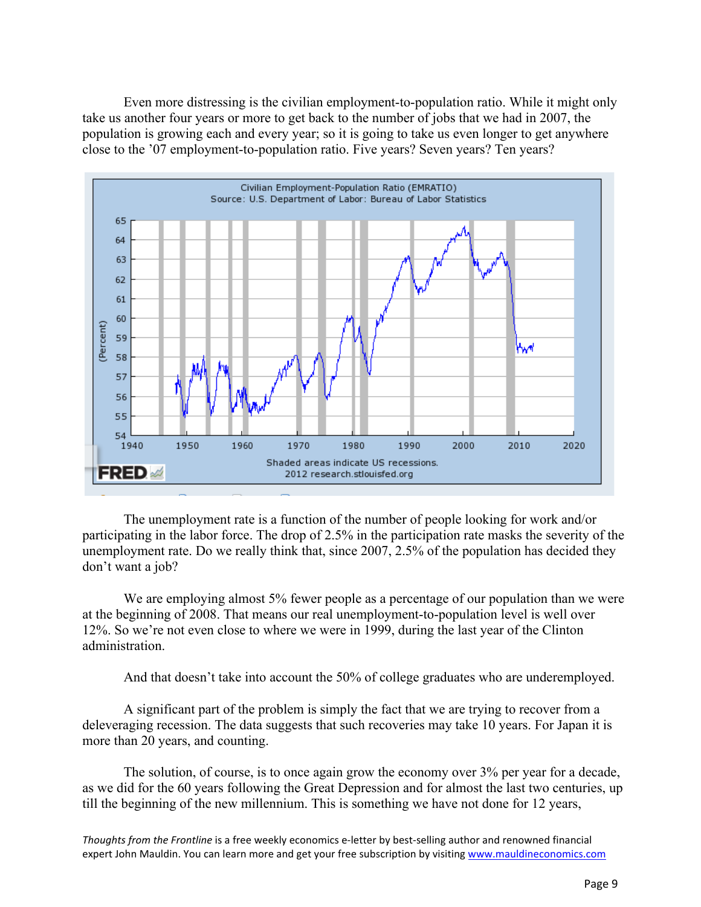Even more distressing is the civilian employment-to-population ratio. While it might only take us another four years or more to get back to the number of jobs that we had in 2007, the population is growing each and every year; so it is going to take us even longer to get anywhere close to the '07 employment-to-population ratio. Five years? Seven years? Ten years?



The unemployment rate is a function of the number of people looking for work and/or participating in the labor force. The drop of 2.5% in the participation rate masks the severity of the unemployment rate. Do we really think that, since 2007, 2.5% of the population has decided they don't want a job?

We are employing almost 5% fewer people as a percentage of our population than we were at the beginning of 2008. That means our real unemployment-to-population level is well over 12%. So we're not even close to where we were in 1999, during the last year of the Clinton administration.

And that doesn't take into account the 50% of college graduates who are underemployed.

A significant part of the problem is simply the fact that we are trying to recover from a deleveraging recession. The data suggests that such recoveries may take 10 years. For Japan it is more than 20 years, and counting.

The solution, of course, is to once again grow the economy over 3% per year for a decade, as we did for the 60 years following the Great Depression and for almost the last two centuries, up till the beginning of the new millennium. This is something we have not done for 12 years,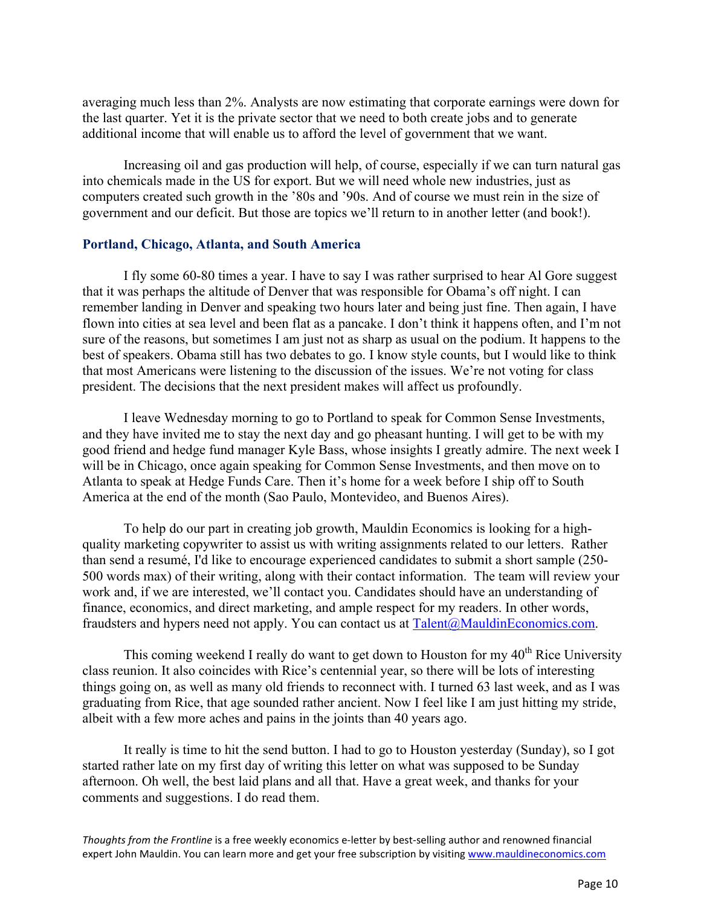averaging much less than 2%. Analysts are now estimating that corporate earnings were down for the last quarter. Yet it is the private sector that we need to both create jobs and to generate additional income that will enable us to afford the level of government that we want.

Increasing oil and gas production will help, of course, especially if we can turn natural gas into chemicals made in the US for export. But we will need whole new industries, just as computers created such growth in the '80s and '90s. And of course we must rein in the size of government and our deficit. But those are topics we'll return to in another letter (and book!).

#### **Portland, Chicago, Atlanta, and South America**

I fly some 60-80 times a year. I have to say I was rather surprised to hear Al Gore suggest that it was perhaps the altitude of Denver that was responsible for Obama's off night. I can remember landing in Denver and speaking two hours later and being just fine. Then again, I have flown into cities at sea level and been flat as a pancake. I don't think it happens often, and I'm not sure of the reasons, but sometimes I am just not as sharp as usual on the podium. It happens to the best of speakers. Obama still has two debates to go. I know style counts, but I would like to think that most Americans were listening to the discussion of the issues. We're not voting for class president. The decisions that the next president makes will affect us profoundly.

I leave Wednesday morning to go to Portland to speak for Common Sense Investments, and they have invited me to stay the next day and go pheasant hunting. I will get to be with my good friend and hedge fund manager Kyle Bass, whose insights I greatly admire. The next week I will be in Chicago, once again speaking for Common Sense Investments, and then move on to Atlanta to speak at Hedge Funds Care. Then it's home for a week before I ship off to South America at the end of the month (Sao Paulo, Montevideo, and Buenos Aires).

To help do our part in creating job growth, Mauldin Economics is looking for a highquality marketing copywriter to assist us with writing assignments related to our letters. Rather than send a resumé, I'd like to encourage experienced candidates to submit a short sample (250- 500 words max) of their writing, along with their contact information. The team will review your work and, if we are interested, we'll contact you. Candidates should have an understanding of finance, economics, and direct marketing, and ample respect for my readers. In other words, fraudsters and hypers need not apply. You can contact us at Talent@MauldinEconomics.com.

This coming weekend I really do want to get down to Houston for my  $40<sup>th</sup>$  Rice University class reunion. It also coincides with Rice's centennial year, so there will be lots of interesting things going on, as well as many old friends to reconnect with. I turned 63 last week, and as I was graduating from Rice, that age sounded rather ancient. Now I feel like I am just hitting my stride, albeit with a few more aches and pains in the joints than 40 years ago.

It really is time to hit the send button. I had to go to Houston yesterday (Sunday), so I got started rather late on my first day of writing this letter on what was supposed to be Sunday afternoon. Oh well, the best laid plans and all that. Have a great week, and thanks for your comments and suggestions. I do read them.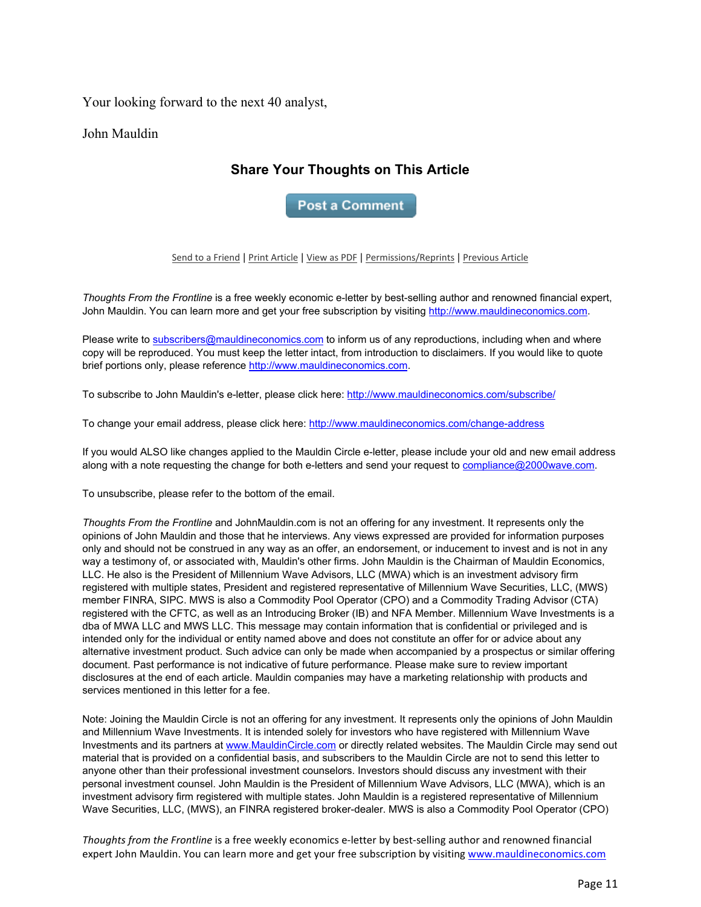Your looking forward to the next 40 analyst,

John Mauldin

# **Share Your Thoughts on This Article**

**Post a Comment** 

Send to a Friend | Print Article | View as PDF | Permissions/Reprints | Previous Article

*Thoughts From the Frontline* is a free weekly economic e-letter by best-selling author and renowned financial expert, John Mauldin. You can learn more and get your free subscription by visiting http://www.mauldineconomics.com.

Please write to subscribers@mauldineconomics.com to inform us of any reproductions, including when and where copy will be reproduced. You must keep the letter intact, from introduction to disclaimers. If you would like to quote brief portions only, please reference http://www.mauldineconomics.com.

To subscribe to John Mauldin's e-letter, please click here: http://www.mauldineconomics.com/subscribe/

To change your email address, please click here: http://www.mauldineconomics.com/change-address

If you would ALSO like changes applied to the Mauldin Circle e-letter, please include your old and new email address along with a note requesting the change for both e-letters and send your request to compliance@2000wave.com.

To unsubscribe, please refer to the bottom of the email.

*Thoughts From the Frontline* and JohnMauldin.com is not an offering for any investment. It represents only the opinions of John Mauldin and those that he interviews. Any views expressed are provided for information purposes only and should not be construed in any way as an offer, an endorsement, or inducement to invest and is not in any way a testimony of, or associated with, Mauldin's other firms. John Mauldin is the Chairman of Mauldin Economics, LLC. He also is the President of Millennium Wave Advisors, LLC (MWA) which is an investment advisory firm registered with multiple states, President and registered representative of Millennium Wave Securities, LLC, (MWS) member FINRA, SIPC. MWS is also a Commodity Pool Operator (CPO) and a Commodity Trading Advisor (CTA) registered with the CFTC, as well as an Introducing Broker (IB) and NFA Member. Millennium Wave Investments is a dba of MWA LLC and MWS LLC. This message may contain information that is confidential or privileged and is intended only for the individual or entity named above and does not constitute an offer for or advice about any alternative investment product. Such advice can only be made when accompanied by a prospectus or similar offering document. Past performance is not indicative of future performance. Please make sure to review important disclosures at the end of each article. Mauldin companies may have a marketing relationship with products and services mentioned in this letter for a fee.

Note: Joining the Mauldin Circle is not an offering for any investment. It represents only the opinions of John Mauldin and Millennium Wave Investments. It is intended solely for investors who have registered with Millennium Wave Investments and its partners at www.MauldinCircle.com or directly related websites. The Mauldin Circle may send out material that is provided on a confidential basis, and subscribers to the Mauldin Circle are not to send this letter to anyone other than their professional investment counselors. Investors should discuss any investment with their personal investment counsel. John Mauldin is the President of Millennium Wave Advisors, LLC (MWA), which is an investment advisory firm registered with multiple states. John Mauldin is a registered representative of Millennium Wave Securities, LLC, (MWS), an FINRA registered broker-dealer. MWS is also a Commodity Pool Operator (CPO)